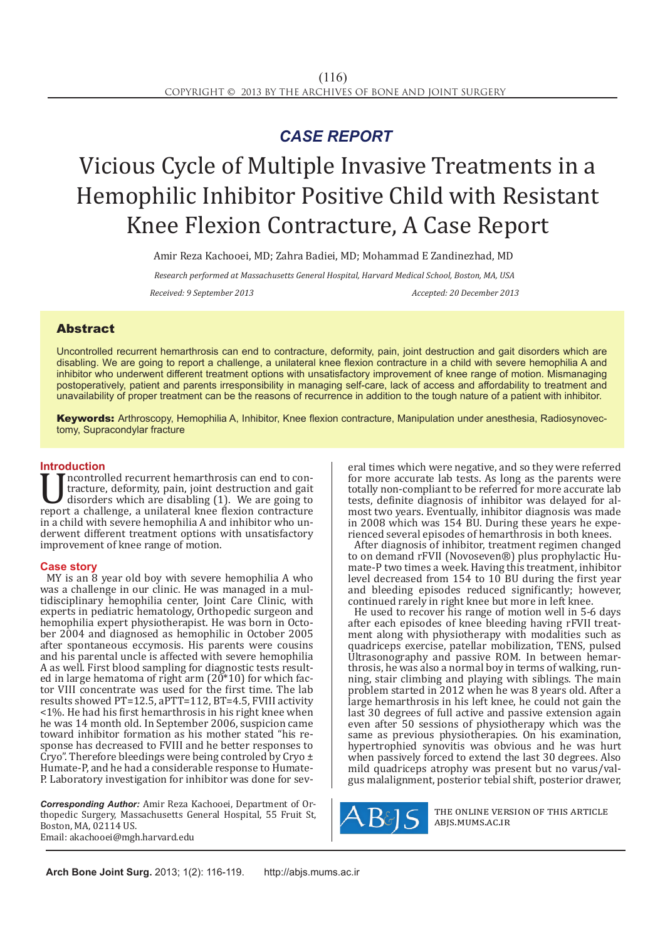## *CASE REPORT*

# Vicious Cycle of Multiple Invasive Treatments in a Hemophilic Inhibitor Positive Child with Resistant Knee Flexion Contracture, A Case Report

Amir Reza Kachooei, MD; Zahra Badiei, MD; Mohammad E Zandinezhad, MD

*Research performed at Massachusetts General Hospital, Harvard Medical School, Boston, MA, USA Received: 9 September 2013 Accepted: 20 December 2013*

### Abstract

Uncontrolled recurrent hemarthrosis can end to contracture, deformity, pain, joint destruction and gait disorders which are disabling. We are going to report a challenge, a unilateral knee flexion contracture in a child with severe hemophilia A and inhibitor who underwent different treatment options with unsatisfactory improvement of knee range of motion. Mismanaging postoperatively, patient and parents irresponsibility in managing self-care, lack of access and affordability to treatment and unavailability of proper treatment can be the reasons of recurrence in addition to the tough nature of a patient with inhibitor.

Keywords: Arthroscopy, Hemophilia A, Inhibitor, Knee flexion contracture, Manipulation under anesthesia, Radiosynovectomy, Supracondylar fracture

**Introduction**<br>**T** T neontrolled recurrent hemarthrosis can end to con-Improperty a controlled recurrent hemarthrosis can end to con-<br>tracture, deformity, pain, joint destruction and gait<br>disorders which are disabling (1). We are going to<br>report a challenge, a unilateral knee flexion contract tracture, deformity, pain, joint destruction and gait disorders which are disabling (1). We are going to in a child with severe hemophilia A and inhibitor who underwent different treatment options with unsatisfactory improvement of knee range of motion.

### **Case story**

MY is an 8 year old boy with severe hemophilia A who was a challenge in our clinic. He was managed in a multidisciplinary hemophilia center, Joint Care Clinic, with experts in pediatric hematology, Orthopedic surgeon and hemophilia expert physiotherapist. He was born in October 2004 and diagnosed as hemophilic in October 2005 after spontaneous eccymosis. His parents were cousins and his parental uncle is affected with severe hemophilia A as well. First blood sampling for diagnostic tests resulted in large hematoma of right arm ( $20*10$ ) for which factor VIII concentrate was used for the first time. The lab results showed PT=12.5, aPTT=112, BT=4.5, FVIII activity <1%. He had his first hemarthrosis in his right knee when he was 14 month old. In September 2006, suspicion came toward inhibitor formation as his mother stated "his response has decreased to FVIII and he better responses to Cryo". Therefore bleedings were being controled by Cryo ± Humate-P, and he had a considerable response to Humate-P. Laboratory investigation for inhibitor was done for sev-

*Corresponding Author:* Amir Reza Kachooei, Department of Orthopedic Surgery, Massachusetts General Hospital, 55 Fruit St, Boston, MA, 02114 US. Email: akachooei@mgh.harvard.edu

eral times which were negative, and so they were referred for more accurate lab tests. As long as the parents were totally non-compliant to be referred for more accurate lab tests, definite diagnosis of inhibitor was delayed for almost two years. Eventually, inhibitor diagnosis was made<br>in 2008 which was 154 BU. During these years he experienced several episodes of hemarthrosis in both knees.

After diagnosis of inhibitor, treatment regimen changed<br>to on demand rFVII (Novoseven®) plus prophylactic Humate-P two times a week. Having this treatment, inhibitor level decreased from 154 to 10 BU during the first year and bleeding episodes reduced significantly; however, continued rarely in right knee but more in left knee.

He used to recover his range of motion well in 5-6 days after each episodes of knee bleeding having rFVII treatment along with physiotherapy with modalities such as quadriceps exercise, patellar mobilization, TENS, pulsed Ultrasonography and passive ROM. In between hemarthrosis, he was also a normal boy in terms of walking, running, stair climbing and playing with siblings. The main problem started in 2012 when he was 8 years old. After a large hemarthrosis in his left knee, he could not gain the last 30 degrees of full active and passive extension again even after 50 sessions of physiotherapy which was the same as previous physiotherapies. On his examination, hypertrophied synovitis was obvious and he was hurt when passively forced to extend the last 30 degrees. Also mild quadriceps atrophy was present but no varus/valgus malalignment, posterior tebial shift, posterior drawer,



the online version of this article abjs.mums.ac.ir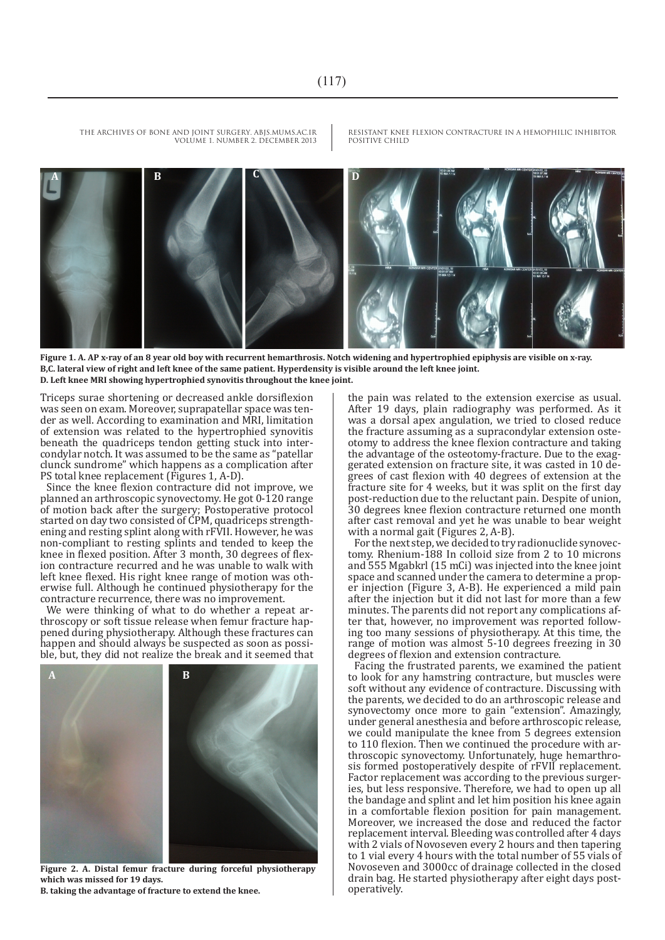THE ARCHIVES OF BONE AND JOINT SURGERY. ABJS.MUMS.AC.IR VOLUME 1. NUMBER 2. DECEMBER 2013

RESISTANT KNEE FLEXION CONTRACTURE IN A HEMOPHILIC INHIBITOR POSITIVE CHILD



**Figure 1. A. AP x-ray of an 8 year old boy with recurrent hemarthrosis. Notch widening and hypertrophied epiphysis are visible on x-ray. B,C. lateral view of right and left knee of the same patient. Hyperdensity is visible around the left knee joint. D. Left knee MRI showing hypertrophied synovitis throughout the knee joint.**

Triceps surae shortening or decreased ankle dorsiflexion was seen on exam. Moreover, suprapatellar space was tender as well. According to examination and MRI, limitation of extension was related to the hypertrophied synovitis beneath the quadriceps tendon getting stuck into intercondylar notch. It was assumed to be the same as "patellar clunck sundrome" which happens as a complication after PS total knee replacement (Figures 1, A-D).

Since the knee flexion contracture did not improve, we planned an arthroscopic synovectomy. He got 0-120 range of motion back after the surgery; Postoperative protocol started on day two consisted of CPM, quadriceps strengthening and resting splint along with rFVII. However, he was non-compliant to resting splints and tended to keep the knee in flexed position. After 3 month, 30 degrees of flexion contracture recurred and he was unable to walk with left knee flexed. His right knee range of motion was otherwise full. Although he continued physiotherapy for the contracture recurrence, there was no improvement.

We were thinking of what to do whether a repeat arthroscopy or soft tissue release when femur fracture happened during physiotherapy. Although these fractures can happen and should always be suspected as soon as possible, but, they did not realize the break and it seemed that



**Figure 2. A. Distal femur fracture during forceful physiotherapy which was missed for 19 days. B. taking the advantage of fracture to extend the knee.**

the pain was related to the extension exercise as usual. After 19 days, plain radiography was performed. As it was a dorsal apex angulation, we tried to closed reduce the fracture assuming as a supracondylar extension osteotomy to address the knee flexion contracture and taking the advantage of the osteotomy-fracture. Due to the exaggerated extension on fracture site, it was casted in 10 degrees of cast flexion with 40 degrees of extension at the fracture site for 4 weeks, but it was split on the first day post-reduction due to the reluctant pain. Despite of union, 30 degrees knee flexion contracture returned one month after cast removal and yet he was unable to bear weight with a normal gait (Figures 2, A-B).

For the next step, we decided to try radionuclide synovectomy. Rhenium-188 In colloid size from 2 to 10 microns and 555 Mgabkrl (15 mCi) was injected into the knee joint er injection (Figure 3, A-B). He experienced a mild pain after the injection but it did not last for more than a few minutes. The parents did not report any complications after that, however, no improvement was reported following too many sessions of physiotherapy. At this time, the range of motion was almost 5-10 degrees freezing in 30 degrees of flexion and extension contracture.

Facing the frustrated parents, we examined the patient to look for any hamstring contracture, but muscles were soft without any evidence of contracture. Discussing with the parents, we decided to do an arthroscopic release and synovectomy once more to gain "extension". Amazingly, under general anesthesia and before arthroscopic release, we could manipulate the knee from 5 degrees extension<br>to 110 flexion. Then we continued the procedure with arthroscopic synovectomy. Unfortunately, huge hemarthrosis formed postoperatively despite of rFVII replacement. Factor replacement was according to the previous surgeries, but less responsive. Therefore, we had to open up all the bandage and splint and let him position his knee again in a comfortable flexion position for pain management. Moreover, we increased the dose and reduced the factor replacement interval. Bleeding was controlled after 4 days with 2 vials of Novoseven every 2 hours and then tapering to 1 vial every 4 hours with the total number of 55 vials of Novoseven and 3000cc of drainage collected in the closed drain bag. He started physiotherapy after eight days post- operatively.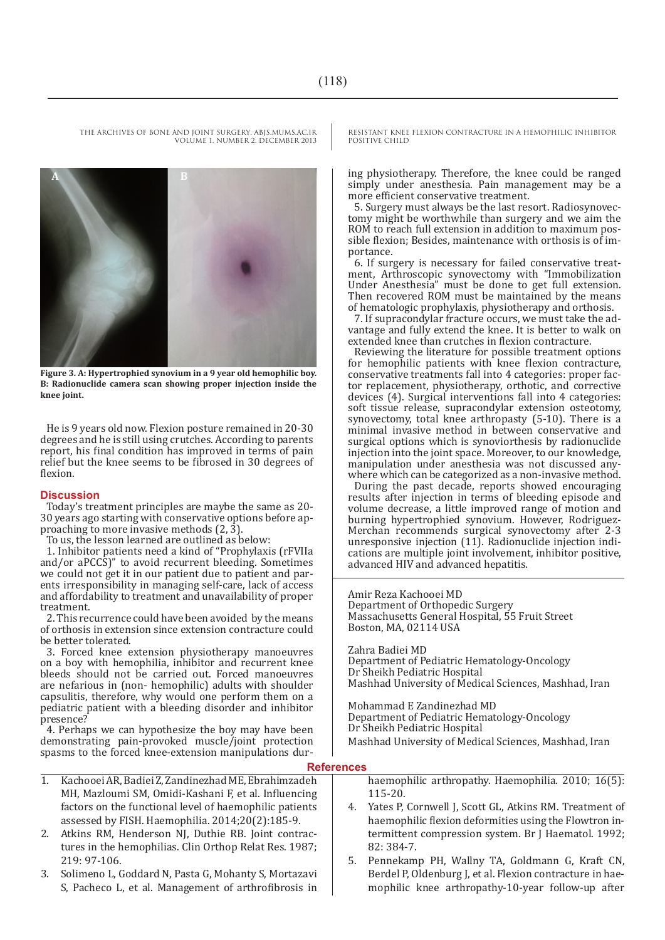THE ARCHIVES OF BONE AND JOINT SURGERY. ABJS.MUMS.AC.IR VOLUME 1. NUMBER 2. DECEMBER 2013



**Figure 3. A: Hypertrophied synovium in a 9 year old hemophilic boy. B: Radionuclide camera scan showing proper injection inside the knee joint.**

He is 9 years old now. Flexion posture remained in 20-30 degrees and he is still using crutches. According to parents report, his final condition has improved in terms of pain relief but the knee seems to be fibrosed in 30 degrees of flexion.

### **Discussion**

Today's treatment principles are maybe the same as 20- 30 years ago starting with conservative options before approaching to more invasive methods (2, 3).

To us, the lesson learned are outlined as below:

1. Inhibitor patients need a kind of "Prophylaxis (rFVIIa and/or aPCCS)" to avoid recurrent bleeding. Sometimes we could not get it in our patient due to patient and parents irresponsibility in managing self-care, lack of access and affordability to treatment and unavailability of proper treatment.

2. This recurrence could have been avoided by the means of orthosis in extension since extension contracture could be better tolerated.

3. Forced knee extension physiotherapy manoeuvres on a boy with hemophilia, inhibitor and recurrent knee bleeds should not be carried out. Forced manoeuvres are nefarious in (non- hemophilic) adults with shoulder capsulitis, therefore, why would one perform them on a pediatric patient with a bleeding disorder and inhibitor presence?

4. Perhaps we can hypothesize the boy may have been demonstrating pain-provoked muscle/joint protection spasms to the forced knee-extension manipulations dur-

- 1. Kachooei AR, Badiei Z, Zandinezhad ME, Ebrahimzadeh MH, Mazloumi SM, Omidi-Kashani F, et al. Influencing factors on the functional level of haemophilic patients assessed by FISH. Haemophilia. 2014;20(2):185-9.
- 2. Atkins RM, Henderson NJ, Duthie RB. Joint contractures in the hemophilias. Clin Orthop Relat Res. 1987; 219: 97-106.
- 3. Solimeno L, Goddard N, Pasta G, Mohanty S, Mortazavi S, Pacheco L, et al. Management of arthrofibrosis in

RESISTANT KNEE FLEXION CONTRACTURE IN A HEMOPHILIC INHIBITOR POSITIVE CHILD

ing physiotherapy. Therefore, the knee could be ranged simply under anesthesia. Pain management may be a more efficient conservative treatment.

5. Surgery must always be the last resort. Radiosynovectomy might be worthwhile than surgery and we aim the ROM to reach full extension in addition to maximum pos-For a sible flexion; Besides, maintenance with orthosis is of im-<br>portance.  $\overline{6}$ . If surgery is necessary for failed conservative treat-

ment, Arthroscopic synovectomy with "Immobilization Under Anesthesia" must be done to get full extension. Then recovered ROM must be maintained by the means

of hematologic prophylaxis, physiotherapy and orthosis. vantage and fully extend the knee. It is better to walk on extended knee than crutches in flexion contracture.

Reviewing the literature for possible treatment options for hemophilic patients with knee flexion contracture, conservative treatments fall into 4 categories: proper factor replacement, physiotherapy, orthotic, and corrective devices (4). Surgical interventions fall into 4 categories: soft tissue release, supracondylar extension osteotomy, synovectomy, total knee arthropasty (5-10). There is a minimal invasive method in between conservative and surgical options which is synoviorthesis by radionuclide injection into the joint space. Moreover, to our knowledge, manipulation under anesthesia was not discussed anywhere which can be categorized as a non-invasive method.

During the past decade, reports showed encouraging results after injection in terms of bleeding episode and volume decrease, a little improved range of motion and burning hypertrophied synovium. However, Rodriguez-Merchan recommends surgical synovectomy after 2-3 unresponsive injection (11). Radionuclide injection indications are multiple joint involvement, inhibitor positive, advanced HIV and advanced hepatitis.

Amir Reza Kachooei MD Department of Orthopedic Surgery Massachusetts General Hospital, 55 Fruit Street Boston, MA, 02114 USA

Zahra Badiei MD

Department of Pediatric Hematology-Oncology Dr Sheikh Pediatric Hospital Mashhad University of Medical Sciences, Mashhad, Iran

Mohammad E Zandinezhad MD

Department of Pediatric Hematology-Oncology Dr Sheikh Pediatric Hospital

Mashhad University of Medical Sciences, Mashhad, Iran

### **References**

haemophilic arthropathy. Haemophilia. 2010; 16(5): 115-20.

- 4. Yates P, Cornwell J, Scott GL, Atkins RM. Treatment of haemophilic flexion deformities using the Flowtron intermittent compression system. Br J Haematol. 1992; 82: 384-7.
- 5. Pennekamp PH, Wallny TA, Goldmann G, Kraft CN, Berdel P, Oldenburg J, et al. Flexion contracture in haemophilic knee arthropathy-10-year follow-up after